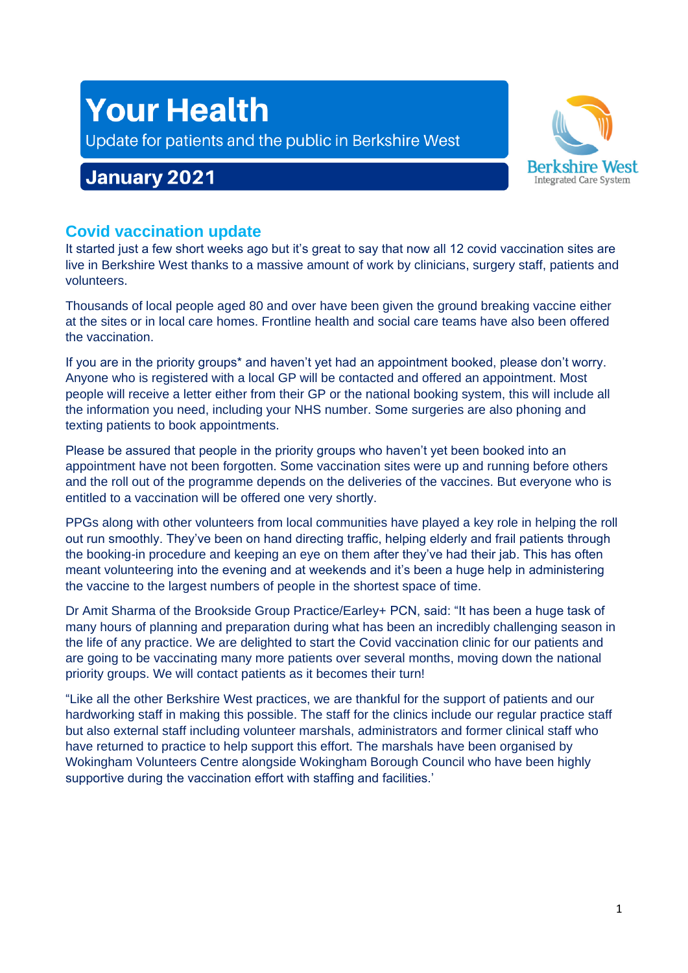# **Your Health**

Update for patients and the public in Berkshire West

## **January 2021**



## **Covid vaccination update**

It started just a few short weeks ago but it's great to say that now all 12 covid vaccination sites are live in Berkshire West thanks to a massive amount of work by clinicians, surgery staff, patients and volunteers.

Thousands of local people aged 80 and over have been given the ground breaking vaccine either at the sites or in local care homes. Frontline health and social care teams have also been offered the vaccination.

If you are in the priority groups\* and haven't yet had an appointment booked, please don't worry. Anyone who is registered with a local GP will be contacted and offered an appointment. Most people will receive a letter either from their GP or the national booking system, this will include all the information you need, including your NHS number. Some surgeries are also phoning and texting patients to book appointments.

Please be assured that people in the priority groups who haven't yet been booked into an appointment have not been forgotten. Some vaccination sites were up and running before others and the roll out of the programme depends on the deliveries of the vaccines. But everyone who is entitled to a vaccination will be offered one very shortly.

PPGs along with other volunteers from local communities have played a key role in helping the roll out run smoothly. They've been on hand directing traffic, helping elderly and frail patients through the booking-in procedure and keeping an eye on them after they've had their jab. This has often meant volunteering into the evening and at weekends and it's been a huge help in administering the vaccine to the largest numbers of people in the shortest space of time.

Dr Amit Sharma of the Brookside Group Practice/Earley+ PCN, said: "It has been a huge task of many hours of planning and preparation during what has been an incredibly challenging season in the life of any practice. We are delighted to start the Covid vaccination clinic for our patients and are going to be vaccinating many more patients over several months, moving down the national priority groups. We will contact patients as it becomes their turn!

"Like all the other Berkshire West practices, we are thankful for the support of patients and our hardworking staff in making this possible. The staff for the clinics include our regular practice staff but also external staff including volunteer marshals, administrators and former clinical staff who have returned to practice to help support this effort. The marshals have been organised by Wokingham Volunteers Centre alongside Wokingham Borough Council who have been highly supportive during the vaccination effort with staffing and facilities.'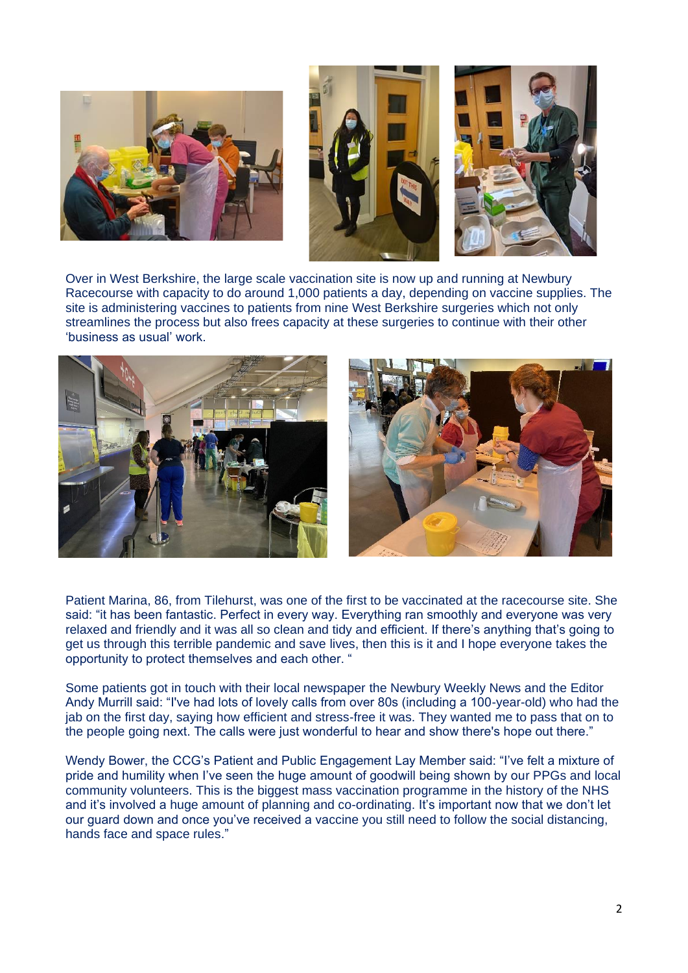



Over in West Berkshire, the large scale vaccination site is now up and running at Newbury Racecourse with capacity to do around 1,000 patients a day, depending on vaccine supplies. The site is administering vaccines to patients from nine West Berkshire surgeries which not only streamlines the process but also frees capacity at these surgeries to continue with their other 'business as usual' work.



Patient Marina, 86, from Tilehurst, was one of the first to be vaccinated at the racecourse site. She said: "it has been fantastic. Perfect in every way. Everything ran smoothly and everyone was very relaxed and friendly and it was all so clean and tidy and efficient. If there's anything that's going to get us through this terrible pandemic and save lives, then this is it and I hope everyone takes the opportunity to protect themselves and each other. "

Some patients got in touch with their local newspaper the Newbury Weekly News and the Editor Andy Murrill said: "I've had lots of lovely calls from over 80s (including a 100-year-old) who had the jab on the first day, saying how efficient and stress-free it was. They wanted me to pass that on to the people going next. The calls were just wonderful to hear and show there's hope out there."

Wendy Bower, the CCG's Patient and Public Engagement Lay Member said: "I've felt a mixture of pride and humility when I've seen the huge amount of goodwill being shown by our PPGs and local community volunteers. This is the biggest mass vaccination programme in the history of the NHS and it's involved a huge amount of planning and co-ordinating. It's important now that we don't let our guard down and once you've received a vaccine you still need to follow the social distancing, hands face and space rules."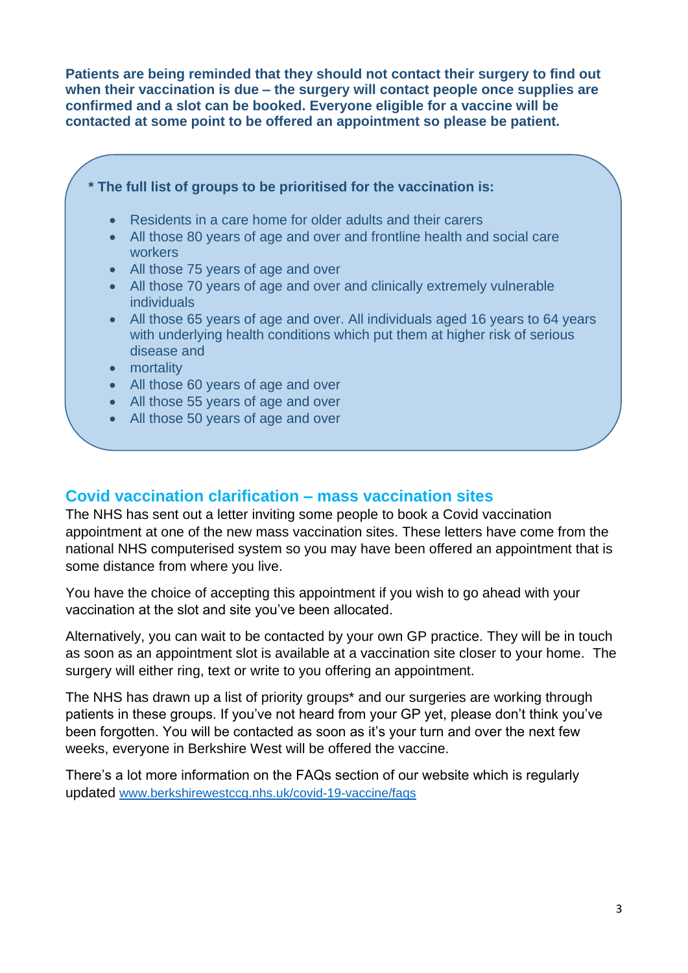**Patients are being reminded that they should not contact their surgery to find out when their vaccination is due – the surgery will contact people once supplies are confirmed and a slot can be booked. Everyone eligible for a vaccine will be contacted at some point to be offered an appointment so please be patient.**



#### **Covid vaccination clarification – mass vaccination sites**

The NHS has sent out a letter inviting some people to book a Covid vaccination appointment at one of the new mass vaccination sites. These letters have come from the national NHS computerised system so you may have been offered an appointment that is some distance from where you live.

You have the choice of accepting this appointment if you wish to go ahead with your vaccination at the slot and site you've been allocated.

Alternatively, you can wait to be contacted by your own GP practice. They will be in touch as soon as an appointment slot is available at a vaccination site closer to your home. The surgery will either ring, text or write to you offering an appointment.

The NHS has drawn up a list of priority groups\* and our surgeries are working through patients in these groups. If you've not heard from your GP yet, please don't think you've been forgotten. You will be contacted as soon as it's your turn and over the next few weeks, everyone in Berkshire West will be offered the vaccine.

There's a lot more information on the FAQs section of our website which is regularly updated [www.berkshirewestccg.nhs.uk/covid-19-vaccine/faqs](http://www.berkshirewestccg.nhs.uk/covid-19-vaccine/faqs)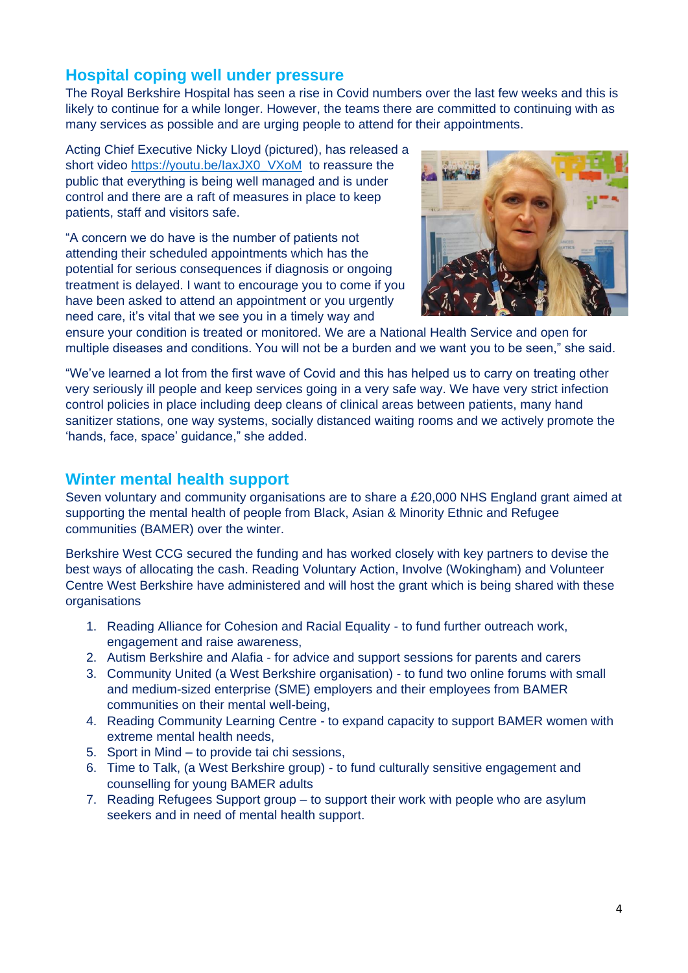## **Hospital coping well under pressure**

The Royal Berkshire Hospital has seen a rise in Covid numbers over the last few weeks and this is likely to continue for a while longer. However, the teams there are committed to continuing with as many services as possible and are urging people to attend for their appointments.

Acting Chief Executive Nicky Lloyd (pictured), has released a short video https://youtu.be/laxJX0\_VXoM to reassure the public that everything is being well managed and is under control and there are a raft of measures in place to keep patients, staff and visitors safe.

"A concern we do have is the number of patients not attending their scheduled appointments which has the potential for serious consequences if diagnosis or ongoing treatment is delayed. I want to encourage you to come if you have been asked to attend an appointment or you urgently need care, it's vital that we see you in a timely way and



ensure your condition is treated or monitored. We are a National Health Service and open for multiple diseases and conditions. You will not be a burden and we want you to be seen," she said.

"We've learned a lot from the first wave of Covid and this has helped us to carry on treating other very seriously ill people and keep services going in a very safe way. We have very strict infection control policies in place including deep cleans of clinical areas between patients, many hand sanitizer stations, one way systems, socially distanced waiting rooms and we actively promote the 'hands, face, space' guidance," she added.

## **Winter mental health support**

Seven voluntary and community organisations are to share a £20,000 NHS England grant aimed at supporting the mental health of people from Black, Asian & Minority Ethnic and Refugee communities (BAMER) over the winter.

Berkshire West CCG secured the funding and has worked closely with key partners to devise the best ways of allocating the cash. Reading Voluntary Action, Involve (Wokingham) and Volunteer Centre West Berkshire have administered and will host the grant which is being shared with these organisations

- 1. Reading Alliance for Cohesion and Racial Equality to fund further outreach work, engagement and raise awareness,
- 2. Autism Berkshire and Alafia for advice and support sessions for parents and carers
- 3. Community United (a West Berkshire organisation) to fund two online forums with small and medium-sized enterprise (SME) employers and their employees from BAMER communities on their mental well-being,
- 4. Reading Community Learning Centre to expand capacity to support BAMER women with extreme mental health needs,
- 5. Sport in Mind to provide tai chi sessions,
- 6. Time to Talk, (a West Berkshire group) to fund culturally sensitive engagement and counselling for young BAMER adults
- 7. Reading Refugees Support group to support their work with people who are asylum seekers and in need of mental health support.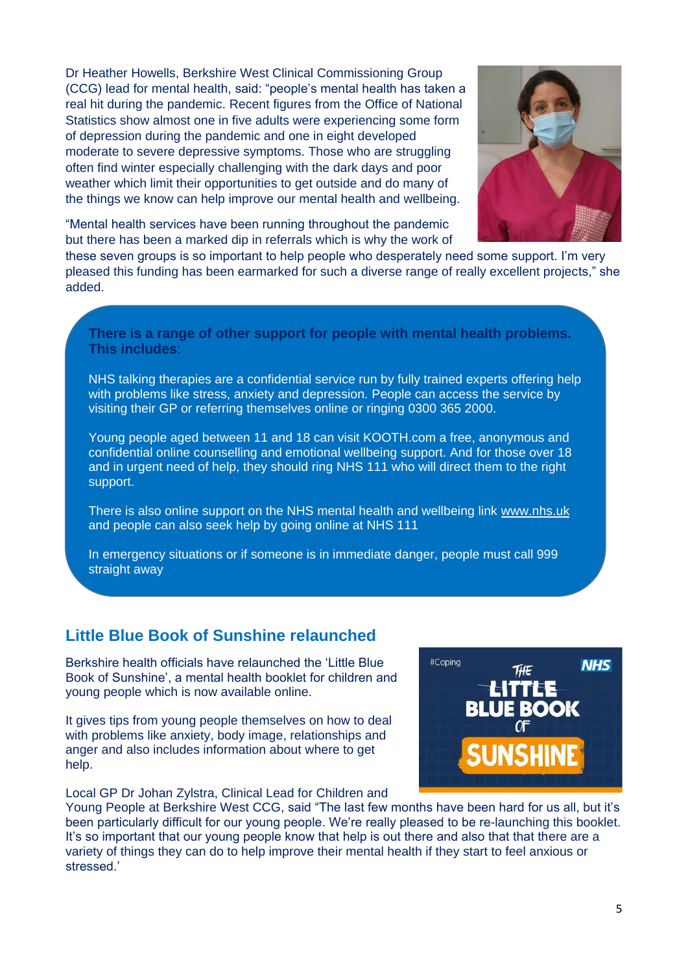Dr Heather Howells, Berkshire West Clinical Commissioning Group (CCG) lead for mental health, said: "people's mental health has taken a real hit during the pandemic. Recent figures from the Office of National Statistics show almost one in five adults were experiencing some form of depression during the pandemic and one in eight developed moderate to severe depressive symptoms. Those who are struggling often find winter especially challenging with the dark days and poor weather which limit their opportunities to get outside and do many of the things we know can help improve our mental health and wellbeing.



"Mental health services have been running throughout the pandemic but there has been a marked dip in referrals which is why the work of

these seven groups is so important to help people who desperately need some support. I'm very pleased this funding has been earmarked for such a diverse range of really excellent projects," she added.

**There is a range of other support for people with mental health problems. This includes**:

NHS talking therapies are a confidential service run by fully trained experts offering help with problems like stress, anxiety and depression. People can access the service by visiting their GP or referring themselves online or ringing 0300 365 2000.

Young people aged between 11 and 18 can visit KOOTH.com a free, anonymous and confidential online counselling and emotional wellbeing support. And for those over 18 and in urgent need of help, they should ring NHS 111 who will direct them to the right support.

There is also online support on the NHS mental health and wellbeing link [www.nhs.uk](http://www.nhs.uk/) and people can also seek help by going online at NHS 111

In emergency situations or if someone is in immediate danger, people must call 999 straight away

### **Little Blue Book of Sunshine relaunched**

Berkshire health officials have relaunched the 'Little Blue Book of Sunshine', a mental health booklet for children and young people which is now available online.

It gives tips from young people themselves on how to deal with problems like anxiety, body image, relationships and anger and also includes information about where to get help.

Local GP Dr Johan Zylstra, Clinical Lead for Children and



Young People at Berkshire West CCG, said "The last few months have been hard for us all, but it's been particularly difficult for our young people. We're really pleased to be re-launching this booklet. It's so important that our young people know that help is out there and also that that there are a variety of things they can do to help improve their mental health if they start to feel anxious or stressed.'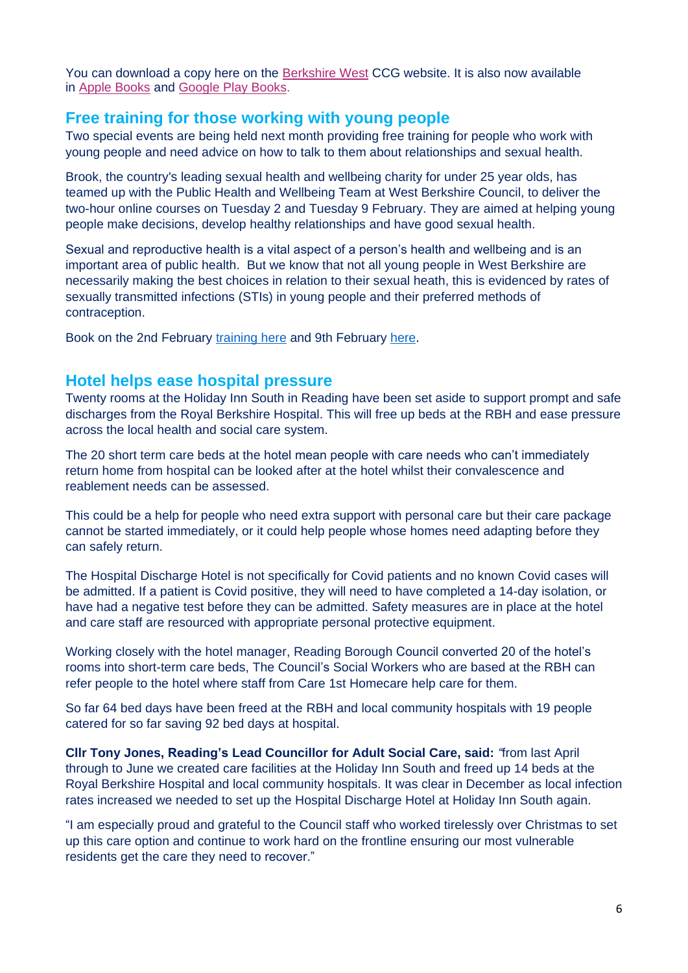You can download a copy here on the [Berkshire West](https://www.berkshirewestccg.nhs.uk/little-blue-book) CCG website. It is also now available in [Apple Books](https://books.apple.com/us/book/the-little-blue-book-of-sunshine/id1544958430?ls=1) and [Google Play Books.](https://play.google.com/store/books/details?id=dvcOEAAAQBAJ)

#### **Free training for those working with young people**

Two special events are being held next month providing free training for people who work with young people and need advice on how to talk to them about relationships and sexual health.

Brook, the country's leading sexual health and wellbeing charity for under 25 year olds, has teamed up with the Public Health and Wellbeing Team at West Berkshire Council, to deliver the two-hour online courses on Tuesday 2 and Tuesday 9 February. They are aimed at helping young people make decisions, develop healthy relationships and have good sexual health.

Sexual and reproductive health is a vital aspect of a person's health and wellbeing and is an important area of public health. But we know that not all young people in West Berkshire are necessarily making the best choices in relation to their sexual heath, this is evidenced by rates of sexually transmitted infections (STIs) in young people and their preferred methods of contraception.

Book on the 2nd February [training here](https://www.eventbrite.co.uk/e/talking-to-young-people-about-relationships-sexual-health-west-berkshire-tickets-126964930525) and 9th February [here.](https://www.eventbrite.co.uk/e/talking-to-young-people-about-relationships-sexual-health-west-berkshire-tickets-126965413971)

#### **Hotel helps ease hospital pressure**

Twenty rooms at the Holiday Inn South in Reading have been set aside to support prompt and safe discharges from the Royal Berkshire Hospital. This will free up beds at the RBH and ease pressure across the local health and social care system.

The 20 short term care beds at the hotel mean people with care needs who can't immediately return home from hospital can be looked after at the hotel whilst their convalescence and reablement needs can be assessed.

This could be a help for people who need extra support with personal care but their care package cannot be started immediately, or it could help people whose homes need adapting before they can safely return.

The Hospital Discharge Hotel is not specifically for Covid patients and no known Covid cases will be admitted. If a patient is Covid positive, they will need to have completed a 14-day isolation, or have had a negative test before they can be admitted. Safety measures are in place at the hotel and care staff are resourced with appropriate personal protective equipment.

Working closely with the hotel manager, Reading Borough Council converted 20 of the hotel's rooms into short-term care beds, The Council's Social Workers who are based at the RBH can refer people to the hotel where staff from Care 1st Homecare help care for them.

So far 64 bed days have been freed at the RBH and local community hospitals with 19 people catered for so far saving 92 bed days at hospital.

**Cllr Tony Jones, Reading's Lead Councillor for Adult Social Care, said:** *"*from last April through to June we created care facilities at the Holiday Inn South and freed up 14 beds at the Royal Berkshire Hospital and local community hospitals. It was clear in December as local infection rates increased we needed to set up the Hospital Discharge Hotel at Holiday Inn South again.

"I am especially proud and grateful to the Council staff who worked tirelessly over Christmas to set up this care option and continue to work hard on the frontline ensuring our most vulnerable residents get the care they need to recover."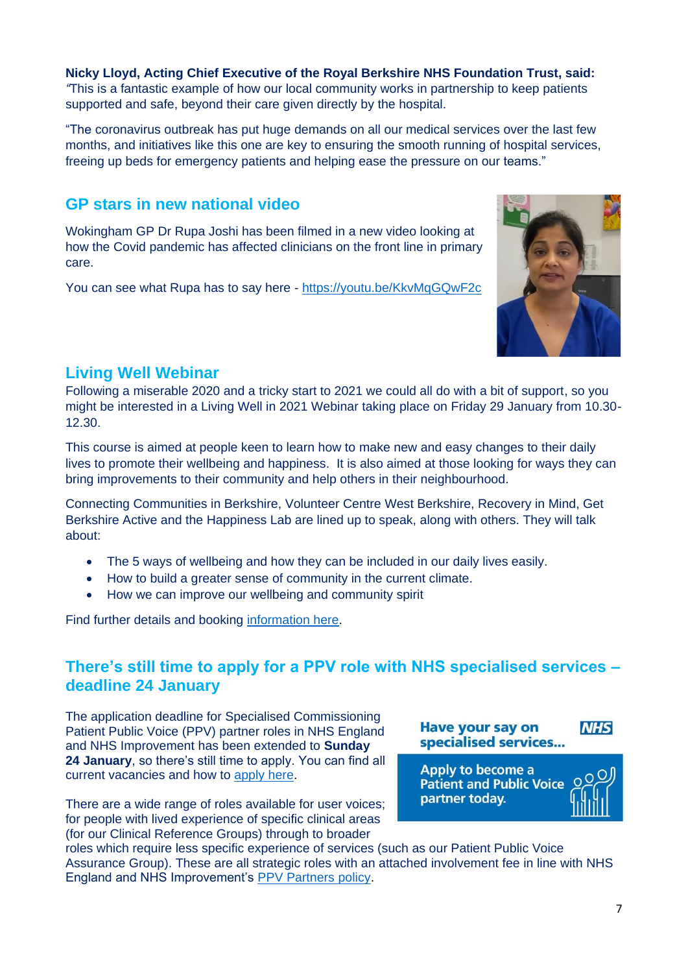**Nicky Lloyd, Acting Chief Executive of the Royal Berkshire NHS Foundation Trust, said:** *"*This is a fantastic example of how our local community works in partnership to keep patients supported and safe, beyond their care given directly by the hospital.

"The coronavirus outbreak has put huge demands on all our medical services over the last few months, and initiatives like this one are key to ensuring the smooth running of hospital services, freeing up beds for emergency patients and helping ease the pressure on our teams."

## **GP stars in new national video**

Wokingham GP Dr Rupa Joshi has been filmed in a new video looking at how the Covid pandemic has affected clinicians on the front line in primary care.

You can see what Rupa has to say here - <https://youtu.be/KkvMqGQwF2c>

## **Living Well Webinar**

Following a miserable 2020 and a tricky start to 2021 we could all do with a bit of support, so you might be interested in a Living Well in 2021 Webinar taking place on Friday 29 January from 10.30- 12.30.

This course is aimed at people keen to learn how to make new and easy changes to their daily lives to promote their wellbeing and happiness. It is also aimed at those looking for ways they can bring improvements to their community and help others in their neighbourhood.

Connecting Communities in Berkshire, Volunteer Centre West Berkshire, Recovery in Mind, Get Berkshire Active and the Happiness Lab are lined up to speak, along with others. They will talk about:

- The 5 ways of wellbeing and how they can be included in our daily lives easily.
- How to build a greater sense of community in the current climate.
- How we can improve our wellbeing and community spirit

Find further details and booking [information here.](https://www.eventbrite.com/e/living-well-in-2021-webinar-tickets-131463126751)

## **There's still time to apply for a PPV role with NHS specialised services – deadline 24 January**

The application deadline for Specialised Commissioning Patient Public Voice (PPV) partner roles in NHS England and NHS Improvement has been extended to **Sunday 24 January**, so there's still time to apply. You can find all current vacancies and how to [apply here.](https://www.england.nhs.uk/participation/get-involved/opportunities/specialised-commissioning-patient-and-public-voice-ppv-roles/)

There are a wide range of roles available for user voices; for people with lived experience of specific clinical areas (for our Clinical Reference Groups) through to broader

roles which require less specific experience of services (such as our Patient Public Voice Assurance Group). These are all strategic roles with an attached involvement fee in line with NHS England and NHS Improvement's [PPV Partners policy.](http://tracking.vuelio.co.uk/tracking/click?d=SlJHSx2fjSxKAVVHXcu6Z3PYCCCVxwzQAQNBL1tdzbsbddNzkQHw317aqgVgS3zfWPhMWokDJ-Oa-2V8e-5pbBzuV3W4Bqsn109p5vg_-YeP2Zx2T-f68mcqVn3qWoLhStT9SKc4kzEMLO_1Jp9YfgM8r-Vd57zs1OsKFGgXsJhstMdiXv-n4Qdxci0hEPO7s61jsG2VtcWgRjSWl20HkImxzJSl7BAyDrhEu7O6tg540hxC3ZmTq_3ytrMv1BXYVA2)